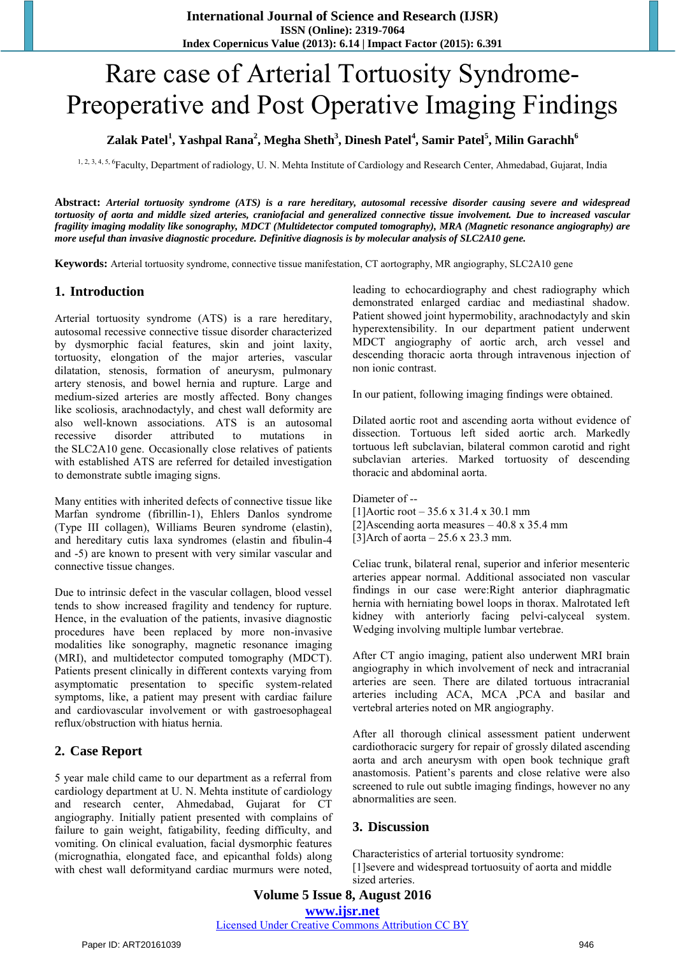# Rare case of Arterial Tortuosity Syndrome-Preoperative and Post Operative Imaging Findings

# **Zalak Patel<sup>1</sup> , Yashpal Rana<sup>2</sup> , Megha Sheth<sup>3</sup> , Dinesh Patel<sup>4</sup> , Samir Patel<sup>5</sup> , Milin Garachh<sup>6</sup>**

1, 2, 3, 4, 5, 6Faculty, Department of radiology, U. N. Mehta Institute of Cardiology and Research Center, Ahmedabad, Gujarat, India

**Abstract:** *Arterial tortuosity syndrome (ATS) is a rare hereditary, autosomal recessive disorder causing severe and widespread tortuosity of aorta and middle sized arteries, craniofacial and generalized connective tissue involvement. Due to increased vascular fragility imaging modality like sonography, MDCT (Multidetector computed tomography), MRA (Magnetic resonance angiography) are more useful than invasive diagnostic procedure. Definitive diagnosis is by molecular analysis of SLC2A10 gene.*

**Keywords:** Arterial tortuosity syndrome, connective tissue manifestation, CT aortography, MR angiography, SLC2A10 gene

#### **1. Introduction**

Arterial tortuosity syndrome (ATS) is a rare hereditary, autosomal recessive connective tissue disorder characterized by dysmorphic facial features, skin and joint laxity, tortuosity, elongation of the major arteries, vascular dilatation, stenosis, formation of aneurysm, pulmonary artery stenosis, and bowel hernia and rupture. Large and medium-sized arteries are mostly affected. Bony changes like scoliosis, arachnodactyly, and chest wall deformity are also well-known associations. ATS is an autosomal recessive disorder attributed to mutations in the SLC2A10 gene. Occasionally close relatives of patients with established ATS are referred for detailed investigation to demonstrate subtle imaging signs.

Many entities with inherited defects of connective tissue like Marfan syndrome (fibrillin-1), Ehlers Danlos syndrome (Type III collagen), Williams Beuren syndrome (elastin), and hereditary cutis laxa syndromes (elastin and fibulin-4 and -5) are known to present with very similar vascular and connective tissue changes.

Due to intrinsic defect in the vascular collagen, blood vessel tends to show increased fragility and tendency for rupture. Hence, in the evaluation of the patients, invasive diagnostic procedures have been replaced by more non-invasive modalities like sonography, magnetic resonance imaging (MRI), and multidetector computed tomography (MDCT). Patients present clinically in different contexts varying from asymptomatic presentation to specific system-related symptoms, like, a patient may present with cardiac failure and cardiovascular involvement or with gastroesophageal reflux/obstruction with hiatus hernia.

### **2. Case Report**

5 year male child came to our department as a referral from cardiology department at U. N. Mehta institute of cardiology and research center, Ahmedabad, Gujarat for CT angiography. Initially patient presented with complains of failure to gain weight, fatigability, feeding difficulty, and vomiting. On clinical evaluation, facial dysmorphic features (micrognathia, elongated face, and epicanthal folds) along with chest wall deformityand cardiac murmurs were noted,

leading to echocardiography and chest radiography which demonstrated enlarged cardiac and mediastinal shadow. Patient showed joint hypermobility, arachnodactyly and skin hyperextensibility. In our department patient underwent MDCT angiography of aortic arch, arch vessel and descending thoracic aorta through intravenous injection of non ionic contrast.

In our patient, following imaging findings were obtained.

Dilated aortic root and ascending aorta without evidence of dissection. Tortuous left sided aortic arch. Markedly tortuous left subclavian, bilateral common carotid and right subclavian arteries. Marked tortuosity of descending thoracic and abdominal aorta.

Diameter of --

- [1]Aortic root 35.6 x 31.4 x 30.1 mm [2]Ascending aorta measures  $-40.8 \times 35.4$  mm
- [3]Arch of aorta  $-25.6 \times 23.3$  mm.

Celiac trunk, bilateral renal, superior and inferior mesenteric arteries appear normal. Additional associated non vascular findings in our case were:Right anterior diaphragmatic hernia with herniating bowel loops in thorax. Malrotated left kidney with anteriorly facing pelvi-calyceal system. Wedging involving multiple lumbar vertebrae.

After CT angio imaging, patient also underwent MRI brain angiography in which involvement of neck and intracranial arteries are seen. There are dilated tortuous intracranial arteries including ACA, MCA ,PCA and basilar and vertebral arteries noted on MR angiography.

After all thorough clinical assessment patient underwent cardiothoracic surgery for repair of grossly dilated ascending aorta and arch aneurysm with open book technique graft anastomosis. Patient's parents and close relative were also screened to rule out subtle imaging findings, however no any abnormalities are seen.

#### **3. Discussion**

Characteristics of arterial tortuosity syndrome: [1]severe and widespread tortuosuity of aorta and middle sized arteries.

# **Volume 5 Issue 8, August 2016 www.ijsr.net**

Licensed Under Creative Commons Attribution CC BY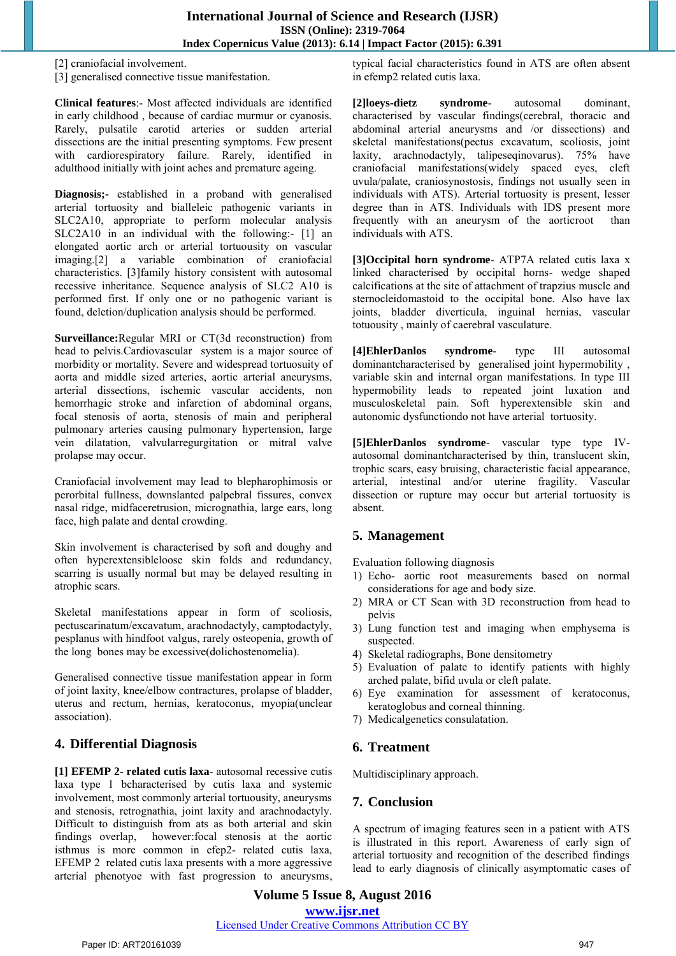[2] craniofacial involvement.

[3] generalised connective tissue manifestation.

**Clinical features**:- Most affected individuals are identified in early childhood , because of cardiac murmur or cyanosis. Rarely, pulsatile carotid arteries or sudden arterial dissections are the initial presenting symptoms. Few present with cardiorespiratory failure. Rarely, identified in adulthood initially with joint aches and premature ageing.

**Diagnosis;-** established in a proband with generalised arterial tortuosity and bialleleic pathogenic variants in SLC2A10, appropriate to perform molecular analysis SLC2A10 in an individual with the following:- [1] an elongated aortic arch or arterial tortuousity on vascular imaging.[2] a variable combination of craniofacial characteristics. [3]family history consistent with autosomal recessive inheritance. Sequence analysis of SLC2 A10 is performed first. If only one or no pathogenic variant is found, deletion/duplication analysis should be performed.

**Surveillance:**Regular MRI or CT(3d reconstruction) from head to pelvis.Cardiovascular system is a major source of morbidity or mortality. Severe and widespread tortuosuity of aorta and middle sized arteries, aortic arterial aneurysms, arterial dissections, ischemic vascular accidents, non hemorrhagic stroke and infarction of abdominal organs, focal stenosis of aorta, stenosis of main and peripheral pulmonary arteries causing pulmonary hypertension, large vein dilatation, valvularregurgitation or mitral valve prolapse may occur.

Craniofacial involvement may lead to blepharophimosis or perorbital fullness, downslanted palpebral fissures, convex nasal ridge, midfaceretrusion, micrognathia, large ears, long face, high palate and dental crowding.

Skin involvement is characterised by soft and doughy and often hyperextensibleloose skin folds and redundancy, scarring is usually normal but may be delayed resulting in atrophic scars.

Skeletal manifestations appear in form of scoliosis, pectuscarinatum/excavatum, arachnodactyly, camptodactyly, pesplanus with hindfoot valgus, rarely osteopenia, growth of the long bones may be excessive(dolichostenomelia).

Generalised connective tissue manifestation appear in form of joint laxity, knee/elbow contractures, prolapse of bladder, uterus and rectum, hernias, keratoconus, myopia(unclear association).

## **4. Differential Diagnosis**

**[1] EFEMP 2- related cutis laxa**- autosomal recessive cutis laxa type 1 bcharacterised by cutis laxa and systemic involvement, most commonly arterial tortuousity, aneurysms and stenosis, retrognathia, joint laxity and arachnodactyly. Difficult to distinguish from ats as both arterial and skin findings overlap, however:focal stenosis at the aortic isthmus is more common in efep2- related cutis laxa, EFEMP 2 related cutis laxa presents with a more aggressive arterial phenotyoe with fast progression to aneurysms, typical facial characteristics found in ATS are often absent in efemp2 related cutis laxa.

**[2]loeys-dietz syndrome**- autosomal dominant, characterised by vascular findings(cerebral, thoracic and abdominal arterial aneurysms and /or dissections) and skeletal manifestations(pectus excavatum, scoliosis, joint laxity, arachnodactyly, talipeseqinovarus). 75% have craniofacial manifestations(widely spaced eyes, cleft uvula/palate, craniosynostosis, findings not usually seen in individuals with ATS). Arterial tortuosity is present, lesser degree than in ATS. Individuals with IDS present more frequently with an aneurysm of the aorticroot than individuals with ATS.

**[3]Occipital horn syndrome**- ATP7A related cutis laxa x linked characterised by occipital horns- wedge shaped calcifications at the site of attachment of trapzius muscle and sternocleidomastoid to the occipital bone. Also have lax joints, bladder diverticula, inguinal hernias, vascular totuousity , mainly of caerebral vasculature.

**[4]EhlerDanlos syndrome**- type III autosomal dominantcharacterised by generalised joint hypermobility , variable skin and internal organ manifestations. In type III hypermobility leads to repeated joint luxation and musculoskeletal pain. Soft hyperextensible skin and autonomic dysfunctiondo not have arterial tortuosity.

**[5]EhlerDanlos syndrome**- vascular type type IVautosomal dominantcharacterised by thin, translucent skin, trophic scars, easy bruising, characteristic facial appearance, arterial, intestinal and/or uterine fragility. Vascular dissection or rupture may occur but arterial tortuosity is absent.

# **5. Management**

Evaluation following diagnosis

- 1) Echo- aortic root measurements based on normal considerations for age and body size.
- 2) MRA or CT Scan with 3D reconstruction from head to pelvis
- 3) Lung function test and imaging when emphysema is suspected.
- 4) Skeletal radiographs, Bone densitometry
- 5) Evaluation of palate to identify patients with highly arched palate, bifid uvula or cleft palate.
- 6) Eye examination for assessment of keratoconus, keratoglobus and corneal thinning.
- 7) Medicalgenetics consulatation.

## **6. Treatment**

Multidisciplinary approach.

## **7. Conclusion**

A spectrum of imaging features seen in a patient with ATS is illustrated in this report. Awareness of early sign of arterial tortuosity and recognition of the described findings lead to early diagnosis of clinically asymptomatic cases of

**Volume 5 Issue 8, August 2016 www.ijsr.net** Licensed Under Creative Commons Attribution CC BY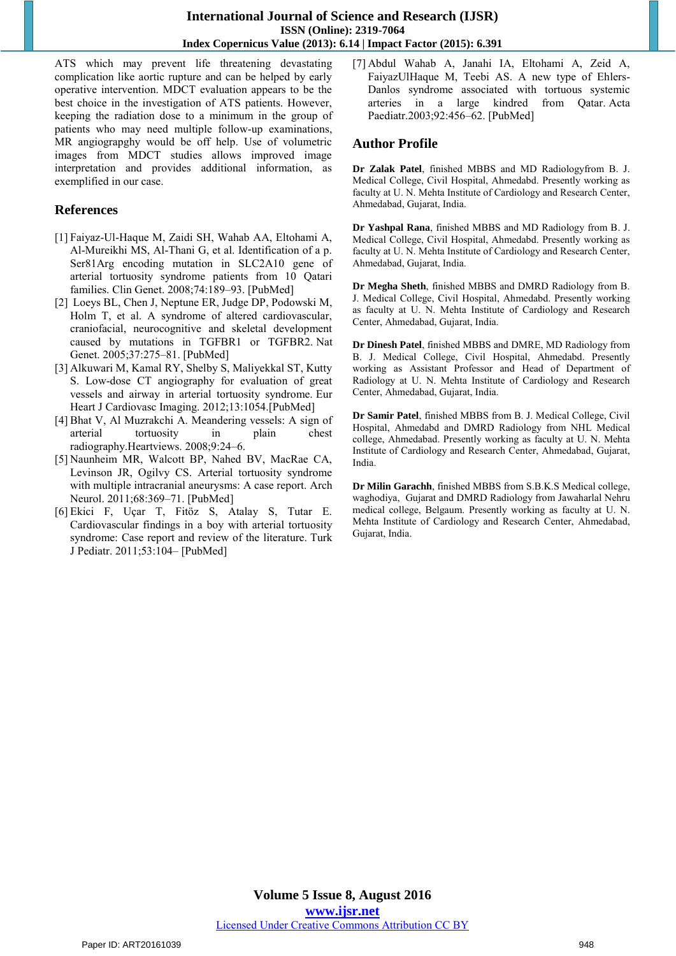ATS which may prevent life threatening devastating complication like aortic rupture and can be helped by early operative intervention. MDCT evaluation appears to be the best choice in the investigation of ATS patients. However, keeping the radiation dose to a minimum in the group of patients who may need multiple follow-up examinations, MR angiograpghy would be off help. Use of volumetric images from MDCT studies allows improved image interpretation and provides additional information, as exemplified in our case.

## **References**

- [1] Faiyaz-Ul-Haque M, Zaidi SH, Wahab AA, Eltohami A, Al-Mureikhi MS, Al-Thani G, et al. Identification of a p. Ser81Arg encoding mutation in SLC2A10 gene of arterial tortuosity syndrome patients from 10 Qatari families. Clin Genet. 2008;74:189–93. [\[PubMed\]](http://www.ncbi.nlm.nih.gov/pubmed/18565096)
- [2] Loeys BL, Chen J, Neptune ER, Judge DP, Podowski M, Holm T, et al. A syndrome of altered cardiovascular, craniofacial, neurocognitive and skeletal development caused by mutations in TGFBR1 or TGFBR2. Nat Genet. 2005;37:275–81. [\[PubMed\]](http://www.ncbi.nlm.nih.gov/pubmed/15731757)
- [3] Alkuwari M, Kamal RY, Shelby S, Maliyekkal ST, Kutty S. Low-dose CT angiography for evaluation of great vessels and airway in arterial tortuosity syndrome. Eur Heart J Cardiovasc Imaging. 2012;13:1054.[\[PubMed\]](http://www.ncbi.nlm.nih.gov/pubmed/22790089)
- [4] Bhat V, Al Muzrakchi A. Meandering vessels: A sign of arterial tortuosity in plain chest radiography.Heartviews. 2008;9:24–6.
- [5] Naunheim MR, Walcott BP, Nahed BV, MacRae CA, Levinson JR, Ogilvy CS. Arterial tortuosity syndrome with multiple intracranial aneurysms: A case report. Arch Neurol. 2011;68:369–71. [\[PubMed\]](http://www.ncbi.nlm.nih.gov/pubmed/21403023)
- [6] Ekici F, Uçar T, Fitöz S, Atalay S, Tutar E. Cardiovascular findings in a boy with arterial tortuosity syndrome: Case report and review of the literature. Turk J Pediatr. 2011;53:104– [\[PubMed\]](http://www.ncbi.nlm.nih.gov/pubmed/21534351)

[7] Abdul Wahab A, Janahi IA, Eltohami A, Zeid A, FaiyazUlHaque M, Teebi AS. A new type of Ehlers-Danlos syndrome associated with tortuous systemic arteries in a large kindred from Qatar. Acta Paediatr.2003;92:456–62. [\[PubMed\]](http://www.ncbi.nlm.nih.gov/pubmed/12801113)

# **Author Profile**

**Dr Zalak Patel**, finished MBBS and MD Radiologyfrom B. J. Medical College, Civil Hospital, Ahmedabd. Presently working as faculty at U. N. Mehta Institute of Cardiology and Research Center, Ahmedabad, Gujarat, India.

**Dr Yashpal Rana**, finished MBBS and MD Radiology from B. J. Medical College, Civil Hospital, Ahmedabd. Presently working as faculty at U. N. Mehta Institute of Cardiology and Research Center, Ahmedabad, Gujarat, India.

**Dr Megha Sheth**, finished MBBS and DMRD Radiology from B. J. Medical College, Civil Hospital, Ahmedabd. Presently working as faculty at U. N. Mehta Institute of Cardiology and Research Center, Ahmedabad, Gujarat, India.

**Dr Dinesh Patel**, finished MBBS and DMRE, MD Radiology from B. J. Medical College, Civil Hospital, Ahmedabd. Presently working as Assistant Professor and Head of Department of Radiology at U. N. Mehta Institute of Cardiology and Research Center, Ahmedabad, Gujarat, India.

**Dr Samir Patel**, finished MBBS from B. J. Medical College, Civil Hospital, Ahmedabd and DMRD Radiology from NHL Medical college, Ahmedabad. Presently working as faculty at U. N. Mehta Institute of Cardiology and Research Center, Ahmedabad, Gujarat, India.

**Dr Milin Garachh**, finished MBBS from S.B.K.S Medical college, waghodiya, Gujarat and DMRD Radiology from Jawaharlal Nehru medical college, Belgaum. Presently working as faculty at U. N. Mehta Institute of Cardiology and Research Center, Ahmedabad, Gujarat, India.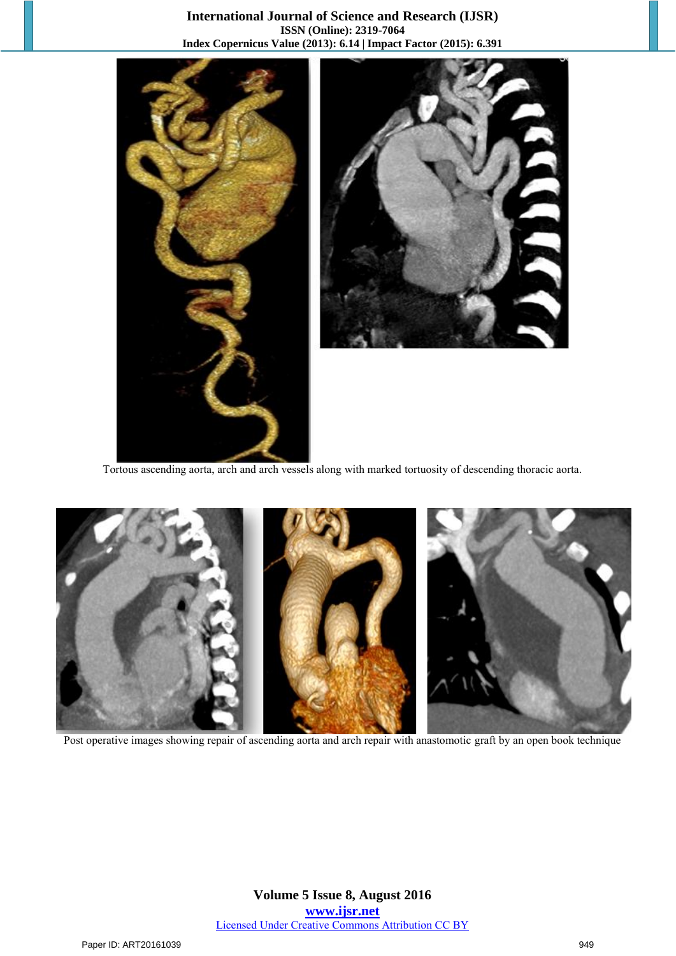#### **International Journal of Science and Research (IJSR) ISSN (Online): 2319-7064 Index Copernicus Value (2013): 6.14 | Impact Factor (2015): 6.391**



Tortous ascending aorta, arch and arch vessels along with marked tortuosity of descending thoracic aorta.



Post operative images showing repair of ascending aorta and arch repair with anastomotic graft by an open book technique